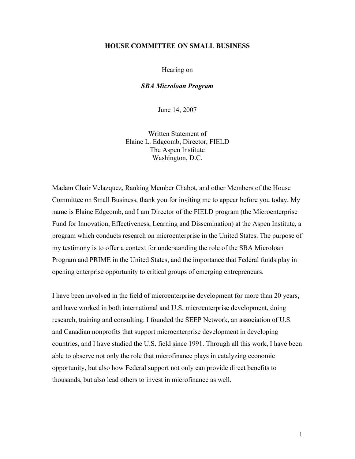## **HOUSE COMMITTEE ON SMALL BUSINESS**

## Hearing on

## *SBA Microloan Program*

June 14, 2007

Written Statement of Elaine L. Edgcomb, Director, FIELD The Aspen Institute Washington, D.C.

Madam Chair Velazquez, Ranking Member Chabot, and other Members of the House Committee on Small Business, thank you for inviting me to appear before you today. My name is Elaine Edgcomb, and I am Director of the FIELD program (the Microenterprise Fund for Innovation, Effectiveness, Learning and Dissemination) at the Aspen Institute, a program which conducts research on microenterprise in the United States. The purpose of my testimony is to offer a context for understanding the role of the SBA Microloan Program and PRIME in the United States, and the importance that Federal funds play in opening enterprise opportunity to critical groups of emerging entrepreneurs.

I have been involved in the field of microenterprise development for more than 20 years, and have worked in both international and U.S. microenterprise development, doing research, training and consulting. I founded the SEEP Network, an association of U.S. and Canadian nonprofits that support microenterprise development in developing countries, and I have studied the U.S. field since 1991. Through all this work, I have been able to observe not only the role that microfinance plays in catalyzing economic opportunity, but also how Federal support not only can provide direct benefits to thousands, but also lead others to invest in microfinance as well.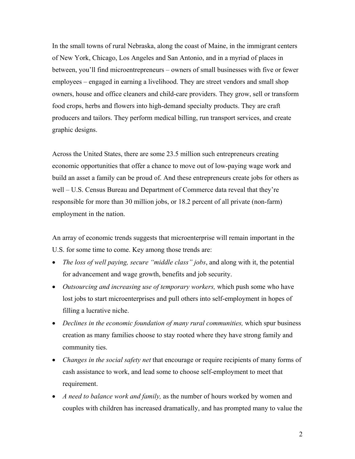In the small towns of rural Nebraska, along the coast of Maine, in the immigrant centers of New York, Chicago, Los Angeles and San Antonio, and in a myriad of places in between, you'll find microentrepreneurs – owners of small businesses with five or fewer employees – engaged in earning a livelihood. They are street vendors and small shop owners, house and office cleaners and child-care providers. They grow, sell or transform food crops, herbs and flowers into high-demand specialty products. They are craft producers and tailors. They perform medical billing, run transport services, and create graphic designs.

Across the United States, there are some 23.5 million such entrepreneurs creating economic opportunities that offer a chance to move out of low-paying wage work and build an asset a family can be proud of. And these entrepreneurs create jobs for others as well – U.S. Census Bureau and Department of Commerce data reveal that they're responsible for more than 30 million jobs, or 18.2 percent of all private (non-farm) employment in the nation.

An array of economic trends suggests that microenterprise will remain important in the U.S. for some time to come. Key among those trends are:

- *The loss of well paying, secure "middle class" jobs*, and along with it, the potential for advancement and wage growth, benefits and job security.
- *Outsourcing and increasing use of temporary workers,* which push some who have lost jobs to start microenterprises and pull others into self-employment in hopes of filling a lucrative niche.
- *Declines in the economic foundation of many rural communities, which spur business* creation as many families choose to stay rooted where they have strong family and community ties.
- *Changes in the social safety net* that encourage or require recipients of many forms of cash assistance to work, and lead some to choose self-employment to meet that requirement.
- *A need to balance work and family,* as the number of hours worked by women and couples with children has increased dramatically, and has prompted many to value the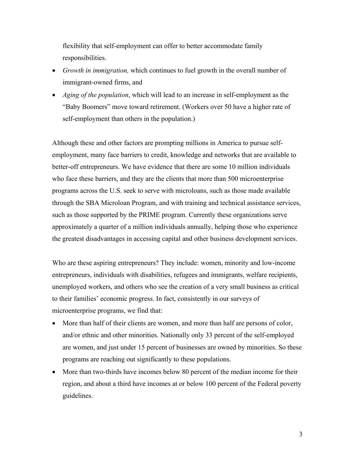flexibility that self-employment can offer to better accommodate family responsibilities.

- *Growth in immigration,* which continues to fuel growth in the overall number of immigrant-owned firms, and
- *Aging of the population*, which will lead to an increase in self-employment as the "Baby Boomers" move toward retirement. (Workers over 50 have a higher rate of self-employment than others in the population.)

Although these and other factors are prompting millions in America to pursue selfemployment, many face barriers to credit, knowledge and networks that are available to better-off entrepreneurs. We have evidence that there are some 10 million individuals who face these barriers, and they are the clients that more than 500 microenterprise programs across the U.S. seek to serve with microloans, such as those made available through the SBA Microloan Program, and with training and technical assistance services, such as those supported by the PRIME program. Currently these organizations serve approximately a quarter of a million individuals annually, helping those who experience the greatest disadvantages in accessing capital and other business development services.

Who are these aspiring entrepreneurs? They include: women, minority and low-income entrepreneurs, individuals with disabilities, refugees and immigrants, welfare recipients, unemployed workers, and others who see the creation of a very small business as critical to their families' economic progress. In fact, consistently in our surveys of microenterprise programs, we find that:

- More than half of their clients are women, and more than half are persons of color, and/or ethnic and other minorities. Nationally only 33 percent of the self-employed are women, and just under 15 percent of businesses are owned by minorities. So these programs are reaching out significantly to these populations.
- More than two-thirds have incomes below 80 percent of the median income for their region, and about a third have incomes at or below 100 percent of the Federal poverty guidelines.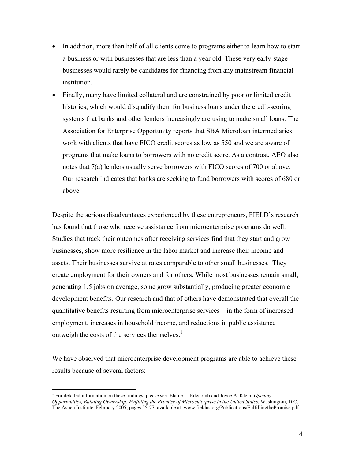- In addition, more than half of all clients come to programs either to learn how to start a business or with businesses that are less than a year old. These very early-stage businesses would rarely be candidates for financing from any mainstream financial institution.
- Finally, many have limited collateral and are constrained by poor or limited credit histories, which would disqualify them for business loans under the credit-scoring systems that banks and other lenders increasingly are using to make small loans. The Association for Enterprise Opportunity reports that SBA Microloan intermediaries work with clients that have FICO credit scores as low as 550 and we are aware of programs that make loans to borrowers with no credit score. As a contrast, AEO also notes that 7(a) lenders usually serve borrowers with FICO scores of 700 or above. Our research indicates that banks are seeking to fund borrowers with scores of 680 or above.

Despite the serious disadvantages experienced by these entrepreneurs, FIELD's research has found that those who receive assistance from microenterprise programs do well. Studies that track their outcomes after receiving services find that they start and grow businesses, show more resilience in the labor market and increase their income and assets. Their businesses survive at rates comparable to other small businesses. They create employment for their owners and for others. While most businesses remain small, generating 1.5 jobs on average, some grow substantially, producing greater economic development benefits. Our research and that of others have demonstrated that overall the quantitative benefits resulting from microenterprise services – in the form of increased employment, increases in household income, and reductions in public assistance – outweigh the costs of the services themselves.<sup>1</sup>

We have observed that microenterprise development programs are able to achieve these results because of several factors:

 $\overline{a}$ 

<sup>&</sup>lt;sup>1</sup> For detailed information on these findings, please see: Elaine L. Edgcomb and Joyce A. Klein, *Opening Opportunities, Building Ownership: Fulfilling the Promise of Microenterprise in the United States*, Washington, D.C.: The Aspen Institute, February 2005, pages 55-77, available at: www.fieldus.org/Publications/FulfillingthePromise.pdf.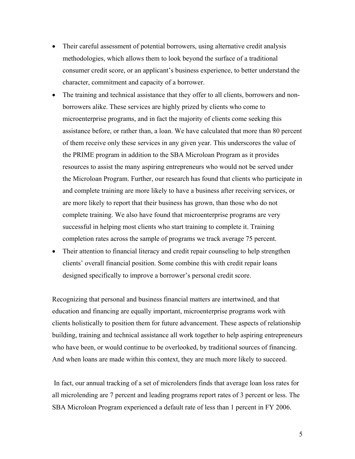- Their careful assessment of potential borrowers, using alternative credit analysis methodologies, which allows them to look beyond the surface of a traditional consumer credit score, or an applicant's business experience, to better understand the character, commitment and capacity of a borrower.
- The training and technical assistance that they offer to all clients, borrowers and nonborrowers alike. These services are highly prized by clients who come to microenterprise programs, and in fact the majority of clients come seeking this assistance before, or rather than, a loan. We have calculated that more than 80 percent of them receive only these services in any given year. This underscores the value of the PRIME program in addition to the SBA Microloan Program as it provides resources to assist the many aspiring entrepreneurs who would not be served under the Microloan Program. Further, our research has found that clients who participate in and complete training are more likely to have a business after receiving services, or are more likely to report that their business has grown, than those who do not complete training. We also have found that microenterprise programs are very successful in helping most clients who start training to complete it. Training completion rates across the sample of programs we track average 75 percent.
- Their attention to financial literacy and credit repair counseling to help strengthen clients' overall financial position. Some combine this with credit repair loans designed specifically to improve a borrower's personal credit score.

Recognizing that personal and business financial matters are intertwined, and that education and financing are equally important, microenterprise programs work with clients holistically to position them for future advancement. These aspects of relationship building, training and technical assistance all work together to help aspiring entrepreneurs who have been, or would continue to be overlooked, by traditional sources of financing. And when loans are made within this context, they are much more likely to succeed.

 In fact, our annual tracking of a set of microlenders finds that average loan loss rates for all microlending are 7 percent and leading programs report rates of 3 percent or less. The SBA Microloan Program experienced a default rate of less than 1 percent in FY 2006.